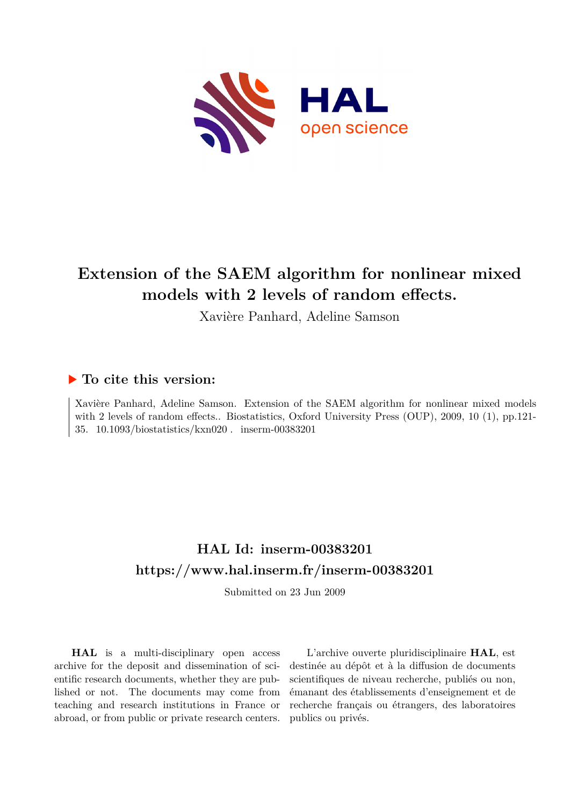

# **Extension of the SAEM algorithm for nonlinear mixed models with 2 levels of random effects.**

Xavière Panhard, Adeline Samson

# **To cite this version:**

Xavière Panhard, Adeline Samson. Extension of the SAEM algorithm for nonlinear mixed models with 2 levels of random effects.. Biostatistics, Oxford University Press (OUP), 2009, 10 (1), pp.121-35.  $10.1093/biostatistics/kxn020$ . inserm-00383201

# **HAL Id: inserm-00383201 <https://www.hal.inserm.fr/inserm-00383201>**

Submitted on 23 Jun 2009

**HAL** is a multi-disciplinary open access archive for the deposit and dissemination of scientific research documents, whether they are published or not. The documents may come from teaching and research institutions in France or abroad, or from public or private research centers.

L'archive ouverte pluridisciplinaire **HAL**, est destinée au dépôt et à la diffusion de documents scientifiques de niveau recherche, publiés ou non, émanant des établissements d'enseignement et de recherche français ou étrangers, des laboratoires publics ou privés.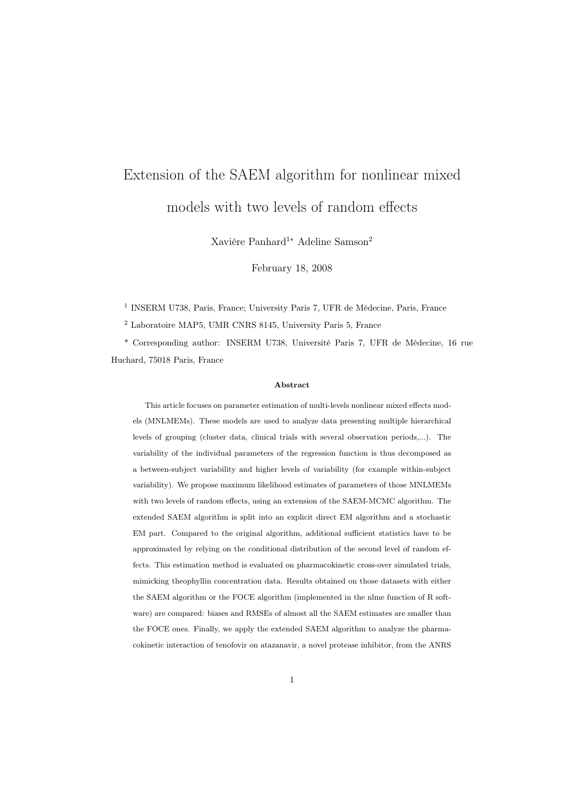# Extension of the SAEM algorithm for nonlinear mixed models with two levels of random effects

Xavière Panhard<sup>1∗</sup> Adeline Samson<sup>2</sup>

February 18, 2008

<sup>1</sup> INSERM U738, Paris, France; University Paris 7, UFR de Médecine, Paris, France

<sup>2</sup> Laboratoire MAP5, UMR CNRS 8145, University Paris 5, France

\* Corresponding author: INSERM U738, Université Paris 7, UFR de Médecine, 16 rue Huchard, 75018 Paris, France

#### Abstract

This article focuses on parameter estimation of multi-levels nonlinear mixed effects models (MNLMEMs). These models are used to analyze data presenting multiple hierarchical levels of grouping (cluster data, clinical trials with several observation periods,...). The variability of the individual parameters of the regression function is thus decomposed as a between-subject variability and higher levels of variability (for example within-subject variability). We propose maximum likelihood estimates of parameters of those MNLMEMs with two levels of random effects, using an extension of the SAEM-MCMC algorithm. The extended SAEM algorithm is split into an explicit direct EM algorithm and a stochastic EM part. Compared to the original algorithm, additional sufficient statistics have to be approximated by relying on the conditional distribution of the second level of random effects. This estimation method is evaluated on pharmacokinetic cross-over simulated trials, mimicking theophyllin concentration data. Results obtained on those datasets with either the SAEM algorithm or the FOCE algorithm (implemented in the nlme function of R software) are compared: biases and RMSEs of almost all the SAEM estimates are smaller than the FOCE ones. Finally, we apply the extended SAEM algorithm to analyze the pharmacokinetic interaction of tenofovir on atazanavir, a novel protease inhibitor, from the ANRS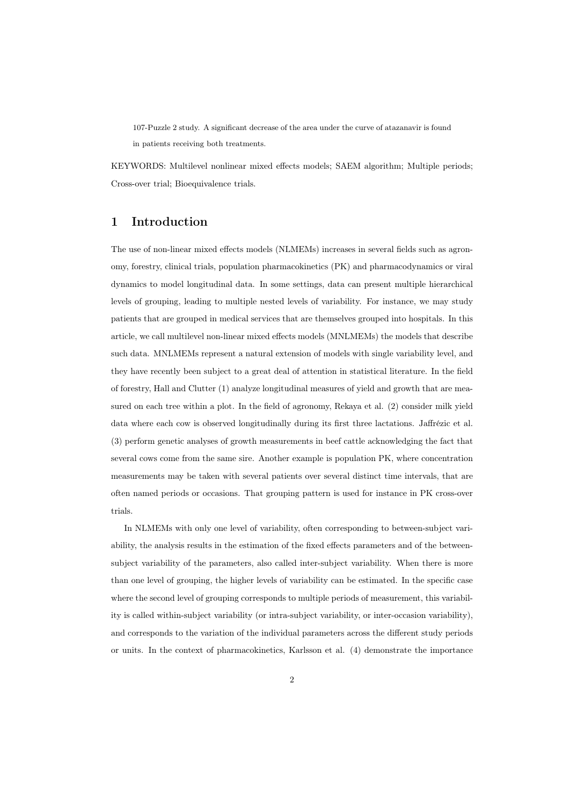107-Puzzle 2 study. A significant decrease of the area under the curve of atazanavir is found in patients receiving both treatments.

KEYWORDS: Multilevel nonlinear mixed effects models; SAEM algorithm; Multiple periods; Cross-over trial; Bioequivalence trials.

# 1 Introduction

The use of non-linear mixed effects models (NLMEMs) increases in several fields such as agronomy, forestry, clinical trials, population pharmacokinetics (PK) and pharmacodynamics or viral dynamics to model longitudinal data. In some settings, data can present multiple hierarchical levels of grouping, leading to multiple nested levels of variability. For instance, we may study patients that are grouped in medical services that are themselves grouped into hospitals. In this article, we call multilevel non-linear mixed effects models (MNLMEMs) the models that describe such data. MNLMEMs represent a natural extension of models with single variability level, and they have recently been subject to a great deal of attention in statistical literature. In the field of forestry, Hall and Clutter (1) analyze longitudinal measures of yield and growth that are measured on each tree within a plot. In the field of agronomy, Rekaya et al. (2) consider milk yield data where each cow is observed longitudinally during its first three lactations. Jaffrézic et al. (3) perform genetic analyses of growth measurements in beef cattle acknowledging the fact that several cows come from the same sire. Another example is population PK, where concentration measurements may be taken with several patients over several distinct time intervals, that are often named periods or occasions. That grouping pattern is used for instance in PK cross-over trials.

In NLMEMs with only one level of variability, often corresponding to between-subject variability, the analysis results in the estimation of the fixed effects parameters and of the betweensubject variability of the parameters, also called inter-subject variability. When there is more than one level of grouping, the higher levels of variability can be estimated. In the specific case where the second level of grouping corresponds to multiple periods of measurement, this variability is called within-subject variability (or intra-subject variability, or inter-occasion variability), and corresponds to the variation of the individual parameters across the different study periods or units. In the context of pharmacokinetics, Karlsson et al. (4) demonstrate the importance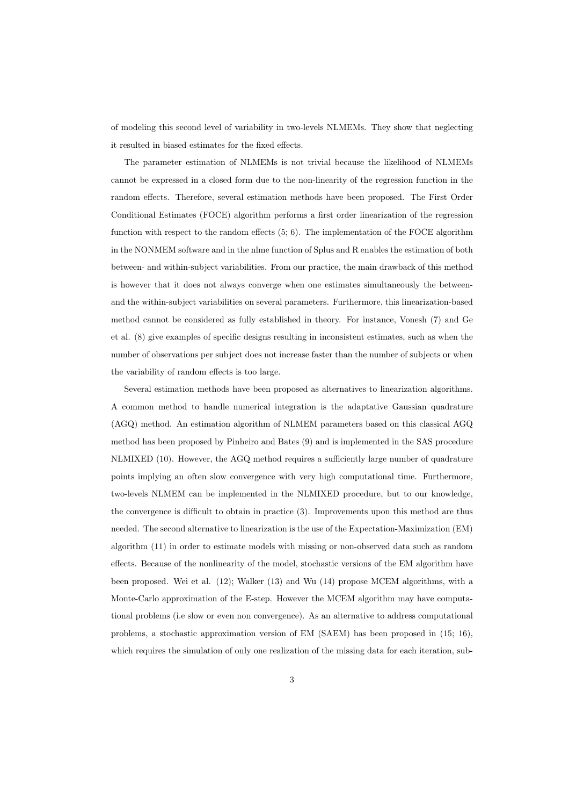of modeling this second level of variability in two-levels NLMEMs. They show that neglecting it resulted in biased estimates for the fixed effects.

The parameter estimation of NLMEMs is not trivial because the likelihood of NLMEMs cannot be expressed in a closed form due to the non-linearity of the regression function in the random effects. Therefore, several estimation methods have been proposed. The First Order Conditional Estimates (FOCE) algorithm performs a first order linearization of the regression function with respect to the random effects  $(5, 6)$ . The implementation of the FOCE algorithm in the NONMEM software and in the nlme function of Splus and R enables the estimation of both between- and within-subject variabilities. From our practice, the main drawback of this method is however that it does not always converge when one estimates simultaneously the betweenand the within-subject variabilities on several parameters. Furthermore, this linearization-based method cannot be considered as fully established in theory. For instance, Vonesh (7) and Ge et al. (8) give examples of specific designs resulting in inconsistent estimates, such as when the number of observations per subject does not increase faster than the number of subjects or when the variability of random effects is too large.

Several estimation methods have been proposed as alternatives to linearization algorithms. A common method to handle numerical integration is the adaptative Gaussian quadrature (AGQ) method. An estimation algorithm of NLMEM parameters based on this classical AGQ method has been proposed by Pinheiro and Bates (9) and is implemented in the SAS procedure NLMIXED (10). However, the AGQ method requires a sufficiently large number of quadrature points implying an often slow convergence with very high computational time. Furthermore, two-levels NLMEM can be implemented in the NLMIXED procedure, but to our knowledge, the convergence is difficult to obtain in practice (3). Improvements upon this method are thus needed. The second alternative to linearization is the use of the Expectation-Maximization (EM) algorithm (11) in order to estimate models with missing or non-observed data such as random effects. Because of the nonlinearity of the model, stochastic versions of the EM algorithm have been proposed. Wei et al. (12); Walker (13) and Wu (14) propose MCEM algorithms, with a Monte-Carlo approximation of the E-step. However the MCEM algorithm may have computational problems (i.e slow or even non convergence). As an alternative to address computational problems, a stochastic approximation version of EM (SAEM) has been proposed in (15; 16), which requires the simulation of only one realization of the missing data for each iteration, sub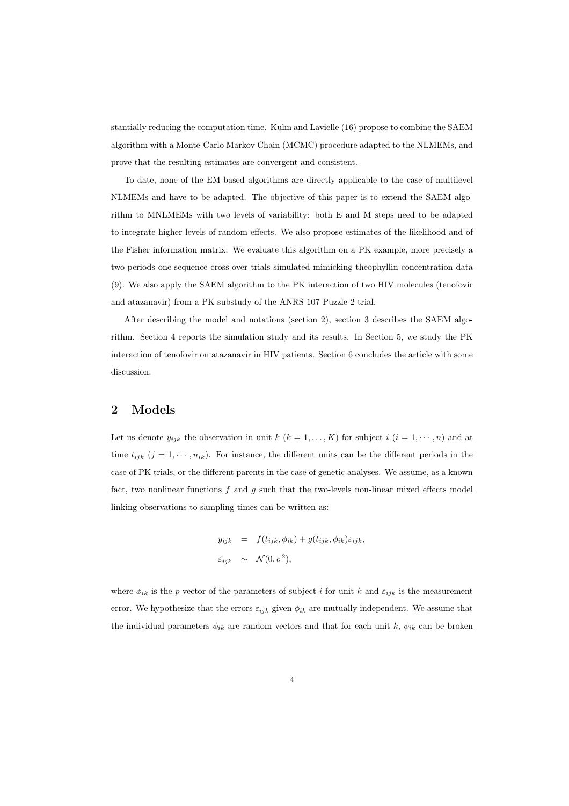stantially reducing the computation time. Kuhn and Lavielle (16) propose to combine the SAEM algorithm with a Monte-Carlo Markov Chain (MCMC) procedure adapted to the NLMEMs, and prove that the resulting estimates are convergent and consistent.

To date, none of the EM-based algorithms are directly applicable to the case of multilevel NLMEMs and have to be adapted. The objective of this paper is to extend the SAEM algorithm to MNLMEMs with two levels of variability: both E and M steps need to be adapted to integrate higher levels of random effects. We also propose estimates of the likelihood and of the Fisher information matrix. We evaluate this algorithm on a PK example, more precisely a two-periods one-sequence cross-over trials simulated mimicking theophyllin concentration data (9). We also apply the SAEM algorithm to the PK interaction of two HIV molecules (tenofovir and atazanavir) from a PK substudy of the ANRS 107-Puzzle 2 trial.

After describing the model and notations (section 2), section 3 describes the SAEM algorithm. Section 4 reports the simulation study and its results. In Section 5, we study the PK interaction of tenofovir on atazanavir in HIV patients. Section 6 concludes the article with some discussion.

# 2 Models

Let us denote  $y_{ijk}$  the observation in unit  $k$   $(k = 1, ..., K)$  for subject  $i$   $(i = 1, ..., n)$  and at time  $t_{ijk}$   $(j = 1, \dots, n_{ik})$ . For instance, the different units can be the different periods in the case of PK trials, or the different parents in the case of genetic analyses. We assume, as a known fact, two nonlinear functions  $f$  and  $g$  such that the two-levels non-linear mixed effects model linking observations to sampling times can be written as:

$$
y_{ijk} = f(t_{ijk}, \phi_{ik}) + g(t_{ijk}, \phi_{ik})\varepsilon_{ijk},
$$
  

$$
\varepsilon_{ijk} \sim \mathcal{N}(0, \sigma^2),
$$

where  $\phi_{ik}$  is the p-vector of the parameters of subject i for unit k and  $\varepsilon_{ijk}$  is the measurement error. We hypothesize that the errors  $\varepsilon_{ijk}$  given  $\phi_{ik}$  are mutually independent. We assume that the individual parameters  $\phi_{ik}$  are random vectors and that for each unit k,  $\phi_{ik}$  can be broken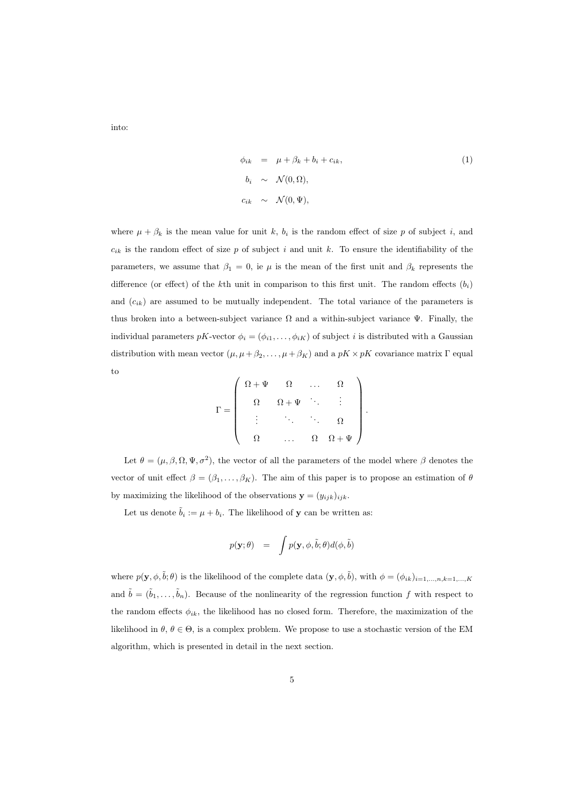into:

$$
\phi_{ik} = \mu + \beta_k + b_i + c_{ik},
$$
  
\n
$$
b_i \sim \mathcal{N}(0, \Omega),
$$
  
\n
$$
c_{ik} \sim \mathcal{N}(0, \Psi),
$$
\n(1)

.

where  $\mu + \beta_k$  is the mean value for unit k,  $b_i$  is the random effect of size p of subject i, and  $c_{ik}$  is the random effect of size p of subject i and unit k. To ensure the identifiability of the parameters, we assume that  $\beta_1 = 0$ , ie  $\mu$  is the mean of the first unit and  $\beta_k$  represents the difference (or effect) of the kth unit in comparison to this first unit. The random effects  $(b_i)$ and  $(c_{ik})$  are assumed to be mutually independent. The total variance of the parameters is thus broken into a between-subject variance  $\Omega$  and a within-subject variance  $\Psi$ . Finally, the individual parameters  $pK$ -vector  $\phi_i = (\phi_{i1}, \ldots, \phi_{iK})$  of subject i is distributed with a Gaussian distribution with mean vector  $(\mu, \mu + \beta_2, \dots, \mu + \beta_K)$  and a  $pK \times pK$  covariance matrix  $\Gamma$  equal to

$$
\Gamma = \left(\begin{array}{ccccc} \Omega + \Psi & \Omega & \ldots & \Omega \\ & & \Omega + \Psi & \ddots & \vdots \\ & & \ddots & \ddots & \Omega \\ & & & \Omega & \Omega + \Psi \end{array}\right)
$$

Let  $\theta = (\mu, \beta, \Omega, \Psi, \sigma^2)$ , the vector of all the parameters of the model where  $\beta$  denotes the vector of unit effect  $\beta = (\beta_1, \ldots, \beta_K)$ . The aim of this paper is to propose an estimation of  $\theta$ by maximizing the likelihood of the observations  $\mathbf{y} = (y_{ijk})_{ijk}$ .

Let us denote  $\tilde{b}_i := \mu + b_i$ . The likelihood of **y** can be written as:

$$
p(\mathbf{y};\theta) = \int p(\mathbf{y}, \phi, \tilde{b}; \theta) d(\phi, \tilde{b})
$$

where  $p(\mathbf{y}, \phi, \tilde{b}; \theta)$  is the likelihood of the complete data  $(\mathbf{y}, \phi, \tilde{b})$ , with  $\phi = (\phi_{ik})_{i=1,\dots,n,k=1,\dots,K}$ and  $\tilde{b} = (\tilde{b}_1,\ldots,\tilde{b}_n)$ . Because of the nonlinearity of the regression function f with respect to the random effects  $\phi_{ik}$ , the likelihood has no closed form. Therefore, the maximization of the likelihood in  $\theta$ ,  $\theta \in \Theta$ , is a complex problem. We propose to use a stochastic version of the EM algorithm, which is presented in detail in the next section.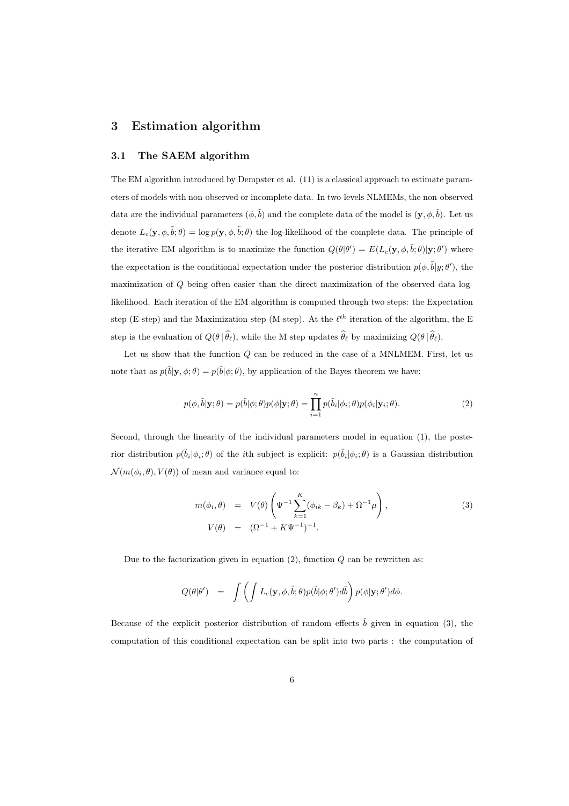## 3 Estimation algorithm

#### 3.1 The SAEM algorithm

The EM algorithm introduced by Dempster et al. (11) is a classical approach to estimate parameters of models with non-observed or incomplete data. In two-levels NLMEMs, the non-observed data are the individual parameters  $(\phi, \tilde{b})$  and the complete data of the model is  $(\mathbf{y}, \phi, \tilde{b})$ . Let us denote  $L_c(\mathbf{y}, \phi, \tilde{b}; \theta) = \log p(\mathbf{y}, \phi, \tilde{b}; \theta)$  the log-likelihood of the complete data. The principle of the iterative EM algorithm is to maximize the function  $Q(\theta|\theta') = E(L_c(\mathbf{y}, \phi, \tilde{b}; \theta)|\mathbf{y}; \theta')$  where the expectation is the conditional expectation under the posterior distribution  $p(\phi, \tilde{b}|y; \theta')$ , the maximization of Q being often easier than the direct maximization of the observed data loglikelihood. Each iteration of the EM algorithm is computed through two steps: the Expectation step (E-step) and the Maximization step (M-step). At the  $\ell^{th}$  iteration of the algorithm, the E step is the evaluation of  $Q(\theta | \hat{\theta}_{\ell})$ , while the M step updates  $\hat{\theta}_{\ell}$  by maximizing  $Q(\theta | \hat{\theta}_{\ell})$ .

Let us show that the function  $Q$  can be reduced in the case of a MNLMEM. First, let us note that as  $p(\tilde{b}|\mathbf{y}, \phi; \theta) = p(\tilde{b}|\phi; \theta)$ , by application of the Bayes theorem we have:

$$
p(\phi, \tilde{b}|\mathbf{y}; \theta) = p(\tilde{b}|\phi; \theta) p(\phi|\mathbf{y}; \theta) = \prod_{i=1}^{n} p(\tilde{b}_i|\phi_i; \theta) p(\phi_i|\mathbf{y}_i; \theta).
$$
\n(2)

Second, through the linearity of the individual parameters model in equation (1), the posterior distribution  $p(\tilde{b}_i|\phi_i;\theta)$  of the *i*th subject is explicit:  $p(\tilde{b}_i|\phi_i;\theta)$  is a Gaussian distribution  $\mathcal{N}(m(\phi_i, \theta), V(\theta))$  of mean and variance equal to:

$$
m(\phi_i, \theta) = V(\theta) \left( \Psi^{-1} \sum_{k=1}^K (\phi_{ik} - \beta_k) + \Omega^{-1} \mu \right),
$$
  
\n
$$
V(\theta) = (\Omega^{-1} + K \Psi^{-1})^{-1}.
$$
\n(3)

Due to the factorization given in equation  $(2)$ , function  $Q$  can be rewritten as:

$$
Q(\theta|\theta') = \int \left( \int L_c(\mathbf{y}, \phi, \tilde{b}; \theta) p(\tilde{b}|\phi; \theta') d\tilde{b} \right) p(\phi|\mathbf{y}; \theta') d\phi.
$$

Because of the explicit posterior distribution of random effects  $\tilde{b}$  given in equation (3), the computation of this conditional expectation can be split into two parts : the computation of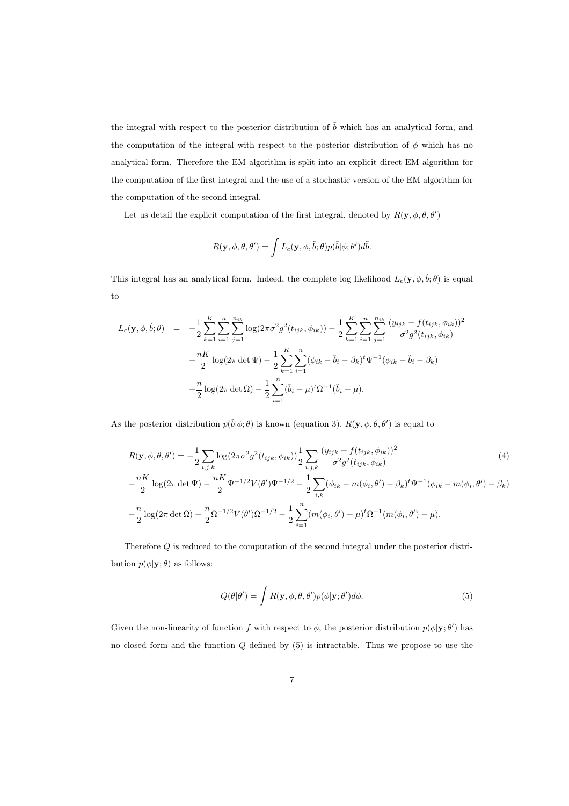the integral with respect to the posterior distribution of  $\tilde{b}$  which has an analytical form, and the computation of the integral with respect to the posterior distribution of  $\phi$  which has no analytical form. Therefore the EM algorithm is split into an explicit direct EM algorithm for the computation of the first integral and the use of a stochastic version of the EM algorithm for the computation of the second integral.

Let us detail the explicit computation of the first integral, denoted by  $R(\mathbf{y}, \phi, \theta, \theta')$ 

$$
R(\mathbf{y}, \phi, \theta, \theta') = \int L_c(\mathbf{y}, \phi, \tilde{b}; \theta) p(\tilde{b}|\phi; \theta') d\tilde{b}.
$$

This integral has an analytical form. Indeed, the complete log likelihood  $L_c(\mathbf{y}, \phi, \tilde{b}; \theta)$  is equal to

$$
L_c(\mathbf{y}, \phi, \tilde{b}; \theta) = -\frac{1}{2} \sum_{k=1}^K \sum_{i=1}^n \sum_{j=1}^{n_{ik}} \log(2\pi \sigma^2 g^2(t_{ijk}, \phi_{ik})) - \frac{1}{2} \sum_{k=1}^K \sum_{i=1}^n \sum_{j=1}^{n_{ik}} \frac{(y_{ijk} - f(t_{ijk}, \phi_{ik}))^2}{\sigma^2 g^2(t_{ijk}, \phi_{ik})}
$$

$$
-\frac{nK}{2} \log(2\pi \det \Psi) - \frac{1}{2} \sum_{k=1}^K \sum_{i=1}^n (\phi_{ik} - \tilde{b}_i - \beta_k)^t \Psi^{-1}(\phi_{ik} - \tilde{b}_i - \beta_k)
$$

$$
-\frac{n}{2} \log(2\pi \det \Omega) - \frac{1}{2} \sum_{i=1}^n (\tilde{b}_i - \mu)^t \Omega^{-1}(\tilde{b}_i - \mu).
$$

As the posterior distribution  $p(\tilde{b}|\phi;\theta)$  is known (equation 3),  $R(\mathbf{y},\phi,\theta,\theta')$  is equal to

$$
R(\mathbf{y}, \phi, \theta, \theta') = -\frac{1}{2} \sum_{i,j,k} \log(2\pi\sigma^2 g^2(t_{ijk}, \phi_{ik})) \frac{1}{2} \sum_{i,j,k} \frac{(y_{ijk} - f(t_{ijk}, \phi_{ik}))^2}{\sigma^2 g^2(t_{ijk}, \phi_{ik})}
$$
(4)  

$$
-\frac{nK}{2} \log(2\pi \det \Psi) - \frac{nK}{2} \Psi^{-1/2} V(\theta') \Psi^{-1/2} - \frac{1}{2} \sum_{i,k} (\phi_{ik} - m(\phi_i, \theta') - \beta_k)^t \Psi^{-1}(\phi_{ik} - m(\phi_i, \theta') - \beta_k)
$$

$$
-\frac{n}{2} \log(2\pi \det \Omega) - \frac{n}{2} \Omega^{-1/2} V(\theta') \Omega^{-1/2} - \frac{1}{2} \sum_{i=1}^n (m(\phi_i, \theta') - \mu)^t \Omega^{-1} (m(\phi_i, \theta') - \mu).
$$

Therefore Q is reduced to the computation of the second integral under the posterior distribution  $p(\phi|\mathbf{y};\theta)$  as follows:

$$
Q(\theta|\theta') = \int R(\mathbf{y}, \phi, \theta, \theta') p(\phi|\mathbf{y}; \theta') d\phi.
$$
 (5)

Given the non-linearity of function f with respect to  $\phi$ , the posterior distribution  $p(\phi|\mathbf{y};\theta')$  has no closed form and the function Q defined by (5) is intractable. Thus we propose to use the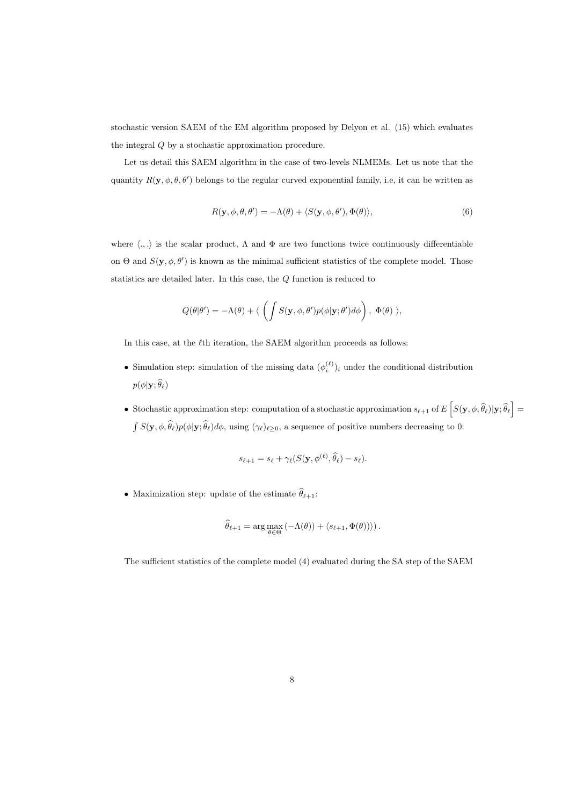stochastic version SAEM of the EM algorithm proposed by Delyon et al. (15) which evaluates the integral Q by a stochastic approximation procedure.

Let us detail this SAEM algorithm in the case of two-levels NLMEMs. Let us note that the quantity  $R(\mathbf{y}, \phi, \theta, \theta')$  belongs to the regular curved exponential family, i.e, it can be written as

$$
R(\mathbf{y}, \phi, \theta, \theta') = -\Lambda(\theta) + \langle S(\mathbf{y}, \phi, \theta'), \Phi(\theta) \rangle,
$$
\n(6)

where  $\langle .,.\rangle$  is the scalar product,  $\Lambda$  and  $\Phi$  are two functions twice continuously differentiable on  $\Theta$  and  $S(\mathbf{y}, \phi, \theta')$  is known as the minimal sufficient statistics of the complete model. Those statistics are detailed later. In this case, the Q function is reduced to

$$
Q(\theta|\theta') = -\Lambda(\theta) + \langle \left( \int S(\mathbf{y}, \phi, \theta') p(\phi|\mathbf{y}; \theta') d\phi \right), \Phi(\theta) \rangle,
$$

In this case, at the  $\ell$ th iteration, the SAEM algorithm proceeds as follows:

- Simulation step: simulation of the missing data  $(\phi_i^{(\ell)})_i$  under the conditional distribution  $p(\phi|\mathbf{y};\widehat{\theta}_{\ell})$
- Stochastic approximation step: computation of a stochastic approximation  $s_{\ell+1}$  of  $E\left[S(\mathbf{y}, \phi, \widehat{\theta}_{\ell}) | \mathbf{y}; \widehat{\theta}_{\ell}\right] =$  $\int S(\mathbf{y}, \phi, \widehat{\theta}_{\ell})p(\phi|\mathbf{y}; \widehat{\theta}_{\ell})d\phi$ , using  $(\gamma_{\ell})_{\ell \geq 0}$ , a sequence of positive numbers decreasing to 0:

$$
s_{\ell+1} = s_{\ell} + \gamma_{\ell}(S(\mathbf{y},\phi^{(\ell)},\widehat{\theta}_{\ell}) - s_{\ell}).
$$

- Maximization step: update of the estimate  $\widehat{\theta}_{\ell+1}$ :

$$
\widehat{\theta}_{\ell+1} = \arg \max_{\theta \in \Theta} \left( -\Lambda(\theta) \right) + \left\langle s_{\ell+1}, \Phi(\theta) \right\rangle \right).
$$

The sufficient statistics of the complete model (4) evaluated during the SA step of the SAEM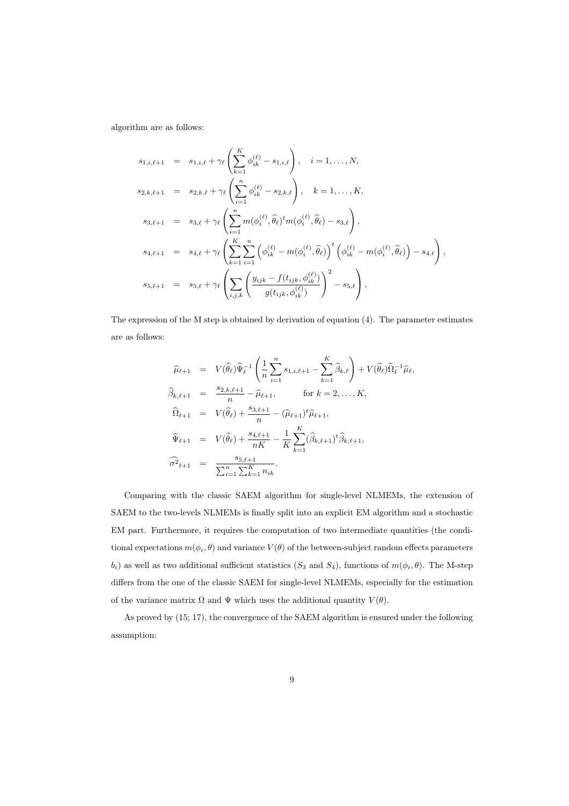algorithm are as follows:

$$
s_{1,i,\ell+1} = s_{1,i,\ell} + \gamma_{\ell} \left( \sum_{k=1}^{K} \phi_{ik}^{(\ell)} - s_{1,i,\ell} \right), \quad i = 1, ..., N,
$$
  
\n
$$
s_{2,k,\ell+1} = s_{2,k,\ell} + \gamma_{\ell} \left( \sum_{i=1}^{n} \phi_{ik}^{(\ell)} - s_{2,k,\ell} \right), \quad k = 1, ..., K,
$$
  
\n
$$
s_{3,\ell+1} = s_{3,\ell} + \gamma_{\ell} \left( \sum_{i=1}^{n} m(\phi_{i}^{(\ell)}, \hat{\theta}_{\ell})^t m(\phi_{i}^{(\ell)}, \hat{\theta}_{\ell}) - s_{3,\ell} \right),
$$
  
\n
$$
s_{4,\ell+1} = s_{4,\ell} + \gamma_{\ell} \left( \sum_{k=1}^{K} \sum_{i=1}^{n} \left( \phi_{ik}^{(\ell)} - m(\phi_{i}^{(\ell)}, \hat{\theta}_{\ell}) \right)^t \left( \phi_{ik}^{(\ell)} - m(\phi_{i}^{(\ell)}, \hat{\theta}_{\ell}) \right) - s_{4,\ell} \right),
$$
  
\n
$$
s_{5,\ell+1} = s_{5,\ell} + \gamma_{\ell} \left( \sum_{i,j,k} \left( \frac{y_{ijk} - f(t_{ijk}, \phi_{ik}^{(\ell)})}{g(t_{ijk}, \phi_{ik}^{(\ell)})} \right)^2 - s_{5,\ell} \right),
$$

The expression of the M step is obtained by derivation of equation (4). The parameter estimates are as follows:

$$
\hat{\mu}_{\ell+1} = V(\hat{\theta}_{\ell}) \hat{\Psi}_{\ell}^{-1} \left( \frac{1}{n} \sum_{i=1}^{n} s_{1,i,\ell+1} - \sum_{k=1}^{K} \hat{\beta}_{k,\ell} \right) + V(\hat{\theta}_{\ell}) \hat{\Omega}_{\ell}^{-1} \hat{\mu}_{\ell},
$$
  

$$
\hat{\beta}_{k,\ell+1} = \frac{s_{2,k,\ell+1}}{n} - \hat{\mu}_{\ell+1}, \qquad \text{for } k = 2, ..., K,
$$
  

$$
\hat{\Omega}_{\ell+1} = V(\hat{\theta}_{\ell}) + \frac{s_{3,\ell+1}}{n} - (\hat{\mu}_{\ell+1})^{t} \hat{\mu}_{\ell+1},
$$
  

$$
\hat{\Psi}_{\ell+1} = V(\hat{\theta}_{\ell}) + \frac{s_{4,\ell+1}}{nK} - \frac{1}{K} \sum_{k=1}^{K} (\hat{\beta}_{k,\ell+1})^{t} \hat{\beta}_{k,\ell+1},
$$
  

$$
\hat{\sigma}^{2}_{\ell+1} = \frac{s_{5,\ell+1}}{\sum_{i=1}^{n} \sum_{k=1}^{K} n_{ik}}.
$$

Comparing with the classic SAEM algorithm for single-level NLMEMs, the extension of SAEM to the two-levels NLMEMs is finally split into an explicit EM algorithm and a stochastic EM part. Furthermore, it requires the computation of two intermediate quantities (the conditional expectations  $m(\phi_i, \theta)$  and variance  $V(\theta)$  of the between-subject random effects parameters  $b_i$ ) as well as two additional sufficient statistics  $(S_3 \text{ and } S_4)$ , functions of  $m(\phi_i, \theta)$ . The M-step differs from the one of the classic SAEM for single-level NLMEMs, especially for the estimation of the variance matrix  $\Omega$  and  $\Psi$  which uses the additional quantity  $V(\theta)$ .

As proved by (15; 17), the convergence of the SAEM algorithm is ensured under the following assumption: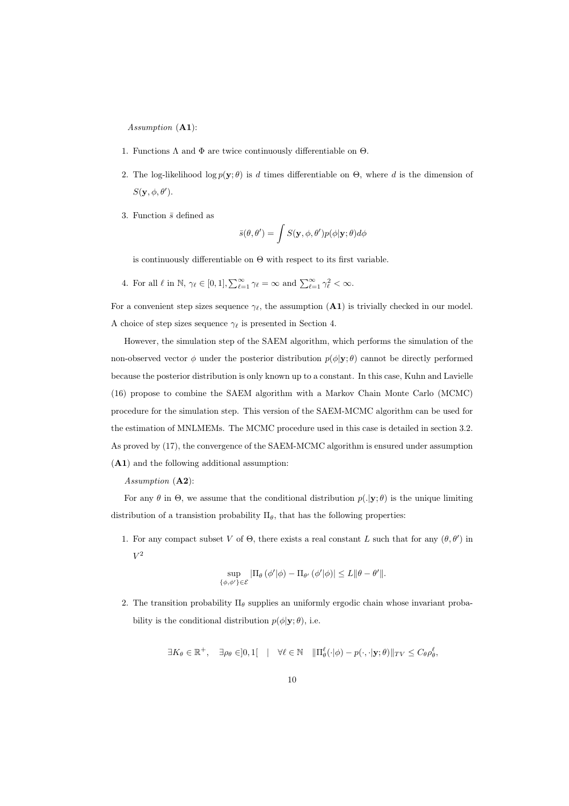Assumption (A1):

- 1. Functions  $\Lambda$  and  $\Phi$  are twice continuously differentiable on  $\Theta$ .
- 2. The log-likelihood log  $p(\mathbf{y}; \theta)$  is d times differentiable on  $\Theta$ , where d is the dimension of  $S(\mathbf{y},\phi,\theta')$ .
- 3. Function  $\bar{s}$  defined as

$$
\bar{s}(\theta,\theta')=\int S(\mathbf{y},\phi,\theta')p(\phi|\mathbf{y};\theta)d\phi
$$

is continuously differentiable on  $\Theta$  with respect to its first variable.

4. For all  $\ell$  in  $\mathbb{N}, \gamma_{\ell} \in [0, 1], \sum_{\ell=1}^{\infty} \gamma_{\ell} = \infty$  and  $\sum_{\ell=1}^{\infty} \gamma_{\ell}^2 < \infty$ .

For a convenient step sizes sequence  $\gamma_{\ell}$ , the assumption (A1) is trivially checked in our model. A choice of step sizes sequence  $\gamma_{\ell}$  is presented in Section 4.

However, the simulation step of the SAEM algorithm, which performs the simulation of the non-observed vector  $\phi$  under the posterior distribution  $p(\phi|\mathbf{y};\theta)$  cannot be directly performed because the posterior distribution is only known up to a constant. In this case, Kuhn and Lavielle (16) propose to combine the SAEM algorithm with a Markov Chain Monte Carlo (MCMC) procedure for the simulation step. This version of the SAEM-MCMC algorithm can be used for the estimation of MNLMEMs. The MCMC procedure used in this case is detailed in section 3.2. As proved by (17), the convergence of the SAEM-MCMC algorithm is ensured under assumption (A1) and the following additional assumption:

Assumption (A2):

For any  $\theta$  in  $\Theta$ , we assume that the conditional distribution  $p(.|\mathbf{y};\theta)$  is the unique limiting distribution of a transistion probability  $\Pi_{\theta}$ , that has the following properties:

1. For any compact subset V of  $\Theta$ , there exists a real constant L such that for any  $(\theta, \theta')$  in  $V^2$ 

$$
\sup_{\{\phi,\phi'\}\in\mathcal{E}}|\Pi_{\theta}(\phi'|\phi)-\Pi_{\theta'}(\phi'|\phi)|\leq L\|\theta-\theta'\|.
$$

2. The transition probability  $\Pi_{\theta}$  supplies an uniformly ergodic chain whose invariant probability is the conditional distribution  $p(\phi|\mathbf{y};\theta)$ , i.e.

$$
\exists K_{\theta} \in \mathbb{R}^+, \quad \exists \rho_{\theta} \in ]0,1[ \quad | \quad \forall \ell \in \mathbb{N} \quad ||\Pi_{\theta}^{\ell}(\cdot|\phi) - p(\cdot,\cdot|\mathbf{y};\theta)||_{TV} \le C_{\theta} \rho_{\theta}^{\ell},
$$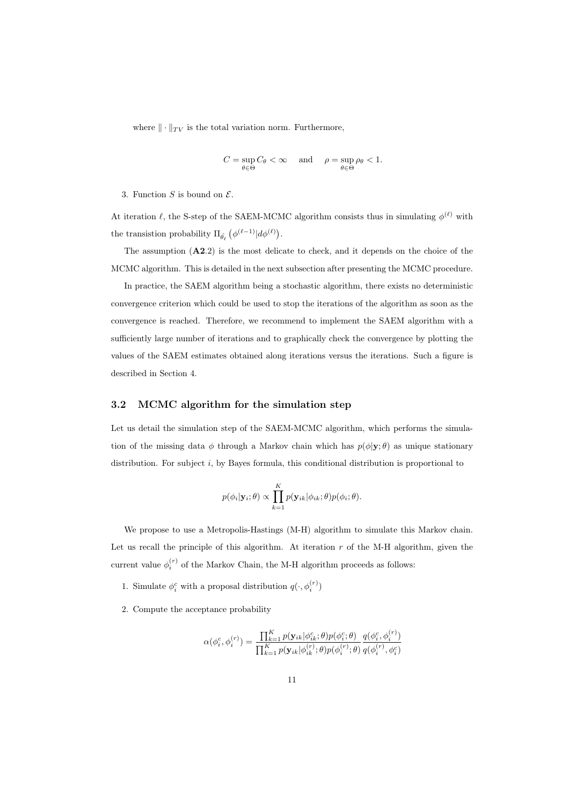where  $\|\cdot\|_{TV}$  is the total variation norm. Furthermore,

$$
C = \sup_{\theta \in \Theta} C_{\theta} < \infty \quad \text{and} \quad \rho = \sup_{\theta \in \Theta} \rho_{\theta} < 1.
$$

3. Function  $S$  is bound on  $\mathcal{E}$ .

At iteration  $\ell$ , the S-step of the SAEM-MCMC algorithm consists thus in simulating  $\phi^{(\ell)}$  with the transistion probability  $\Pi_{\hat{\theta_\ell}}\left(\phi^{(\ell-1)}|d\phi^{(\ell)}\right)$ .

The assumption  $(A2.2)$  is the most delicate to check, and it depends on the choice of the MCMC algorithm. This is detailed in the next subsection after presenting the MCMC procedure.

In practice, the SAEM algorithm being a stochastic algorithm, there exists no deterministic convergence criterion which could be used to stop the iterations of the algorithm as soon as the convergence is reached. Therefore, we recommend to implement the SAEM algorithm with a sufficiently large number of iterations and to graphically check the convergence by plotting the values of the SAEM estimates obtained along iterations versus the iterations. Such a figure is described in Section 4.

#### 3.2 MCMC algorithm for the simulation step

Let us detail the simulation step of the SAEM-MCMC algorithm, which performs the simulation of the missing data  $\phi$  through a Markov chain which has  $p(\phi|\mathbf{y};\theta)$  as unique stationary distribution. For subject i, by Bayes formula, this conditional distribution is proportional to

$$
p(\phi_i|\mathbf{y}_i;\theta) \propto \prod_{k=1}^K p(\mathbf{y}_{ik}|\phi_{ik};\theta) p(\phi_i;\theta).
$$

We propose to use a Metropolis-Hastings  $(M-H)$  algorithm to simulate this Markov chain. Let us recall the principle of this algorithm. At iteration  $r$  of the M-H algorithm, given the current value  $\phi_i^{(r)}$  of the Markov Chain, the M-H algorithm proceeds as follows:

- 1. Simulate  $\phi_i^c$  with a proposal distribution  $q(\cdot, \phi_i^{(r)})$
- 2. Compute the acceptance probability

$$
\alpha(\phi_i^c, \phi_i^{(r)}) = \frac{\prod_{k=1}^K p(\mathbf{y}_{ik} | \phi_{ik}^c; \theta) p(\phi_i^c; \theta)}{\prod_{k=1}^K p(\mathbf{y}_{ik} | \phi_{ik}^{(r)}; \theta) p(\phi_i^{(r)}; \theta)} \frac{q(\phi_i^c, \phi_i^{(r)})}{q(\phi_i^{(r)}, \phi_i^c)}
$$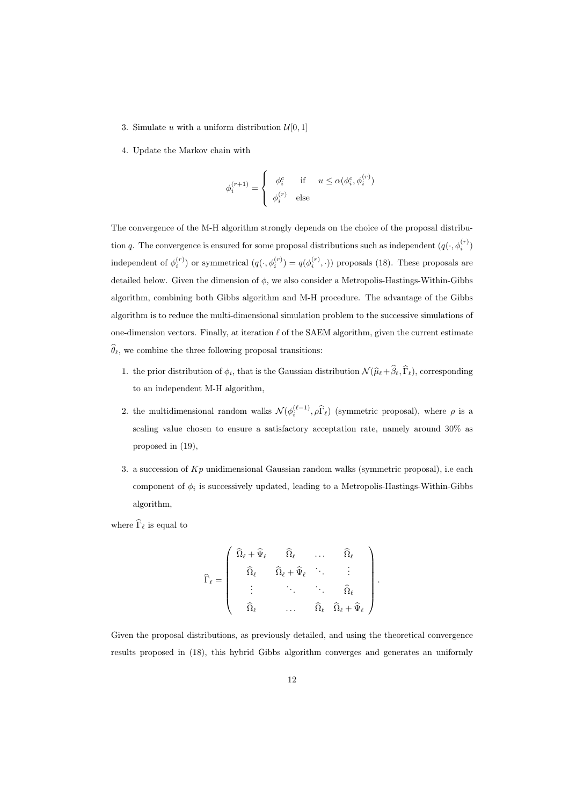- 3. Simulate u with a uniform distribution  $\mathcal{U}[0,1]$
- 4. Update the Markov chain with

$$
\phi_i^{(r+1)} = \left\{ \begin{array}{cl} \phi_i^c & \text{if} & u \leq \alpha(\phi_i^c, \phi_i^{(r)}) \\ \phi_i^{(r)} & \text{else} \end{array} \right.
$$

The convergence of the M-H algorithm strongly depends on the choice of the proposal distribution q. The convergence is ensured for some proposal distributions such as independent  $(q(\cdot, \phi_i^{(r)})$ independent of  $\phi_i^{(r)}$  or symmetrical  $(q(\cdot, \phi_i^{(r)}) = q(\phi_i^{(r)}, \cdot))$  proposals (18). These proposals are detailed below. Given the dimension of  $\phi$ , we also consider a Metropolis-Hastings-Within-Gibbs algorithm, combining both Gibbs algorithm and M-H procedure. The advantage of the Gibbs algorithm is to reduce the multi-dimensional simulation problem to the successive simulations of one-dimension vectors. Finally, at iteration  $\ell$  of the SAEM algorithm, given the current estimate  $\widehat{\theta}_{\ell}$ , we combine the three following proposal transitions:

- 1. the prior distribution of  $\phi_i$ , that is the Gaussian distribution  $\mathcal{N}(\hat{\mu}_\ell + \hat{\beta}_\ell, \hat{\Gamma}_\ell)$ , corresponding to an independent M-H algorithm,
- 2. the multidimensional random walks  $\mathcal{N}(\phi_i^{(\ell-1)}, \rho \widehat{\Gamma}_{\ell})$  (symmetric proposal), where  $\rho$  is a scaling value chosen to ensure a satisfactory acceptation rate, namely around 30% as proposed in (19),
- 3. a succession of  $Kp$  unidimensional Gaussian random walks (symmetric proposal), i.e each component of  $\phi_i$  is successively updated, leading to a Metropolis-Hastings-Within-Gibbs algorithm,

where  $\widehat{\Gamma}_{\ell}$  is equal to

$$
\widehat{\Gamma}_{\ell} = \left(\begin{array}{cccc} \widehat{\Omega}_{\ell} + \widehat{\Psi}_{\ell} & \widehat{\Omega}_{\ell} & \dots & \widehat{\Omega}_{\ell} \\ & & & \\ \widehat{\Omega}_{\ell} & \widehat{\Omega}_{\ell} + \widehat{\Psi}_{\ell} & \ddots & \vdots \\ \vdots & \ddots & \ddots & \widehat{\Omega}_{\ell} \\ & & & \\ \widehat{\Omega}_{\ell} & \dots & \widehat{\Omega}_{\ell} & \widehat{\Omega}_{\ell} + \widehat{\Psi}_{\ell} \end{array}\right)
$$

.

Given the proposal distributions, as previously detailed, and using the theoretical convergence results proposed in (18), this hybrid Gibbs algorithm converges and generates an uniformly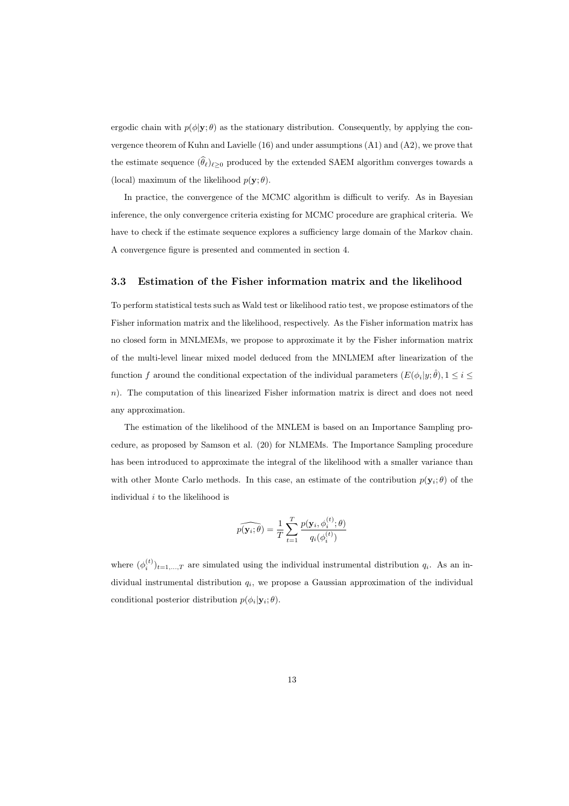ergodic chain with  $p(\phi|\mathbf{y};\theta)$  as the stationary distribution. Consequently, by applying the convergence theorem of Kuhn and Lavielle (16) and under assumptions (A1) and (A2), we prove that the estimate sequence  $(\widehat{\theta}_{\ell})_{\ell>0}$  produced by the extended SAEM algorithm converges towards a (local) maximum of the likelihood  $p(\mathbf{y}; \theta)$ .

In practice, the convergence of the MCMC algorithm is difficult to verify. As in Bayesian inference, the only convergence criteria existing for MCMC procedure are graphical criteria. We have to check if the estimate sequence explores a sufficiency large domain of the Markov chain. A convergence figure is presented and commented in section 4.

#### 3.3 Estimation of the Fisher information matrix and the likelihood

To perform statistical tests such as Wald test or likelihood ratio test, we propose estimators of the Fisher information matrix and the likelihood, respectively. As the Fisher information matrix has no closed form in MNLMEMs, we propose to approximate it by the Fisher information matrix of the multi-level linear mixed model deduced from the MNLMEM after linearization of the function f around the conditional expectation of the individual parameters  $(E(\phi_i|y;\hat{\theta}), 1 \leq i \leq$ n). The computation of this linearized Fisher information matrix is direct and does not need any approximation.

The estimation of the likelihood of the MNLEM is based on an Importance Sampling procedure, as proposed by Samson et al. (20) for NLMEMs. The Importance Sampling procedure has been introduced to approximate the integral of the likelihood with a smaller variance than with other Monte Carlo methods. In this case, an estimate of the contribution  $p(\mathbf{y}_i;\theta)$  of the individual  $i$  to the likelihood is

$$
\widehat{p(\mathbf{y}_i;\theta)} = \frac{1}{T} \sum_{t=1}^{T} \frac{p(\mathbf{y}_i, \phi_i^{(t)}; \theta)}{q_i(\phi_i^{(t)})}
$$

where  $(\phi_i^{(t)})_{t=1,\dots,T}$  are simulated using the individual instrumental distribution  $q_i$ . As an individual instrumental distribution  $q_i$ , we propose a Gaussian approximation of the individual conditional posterior distribution  $p(\phi_i|\mathbf{y}_i;\theta)$ .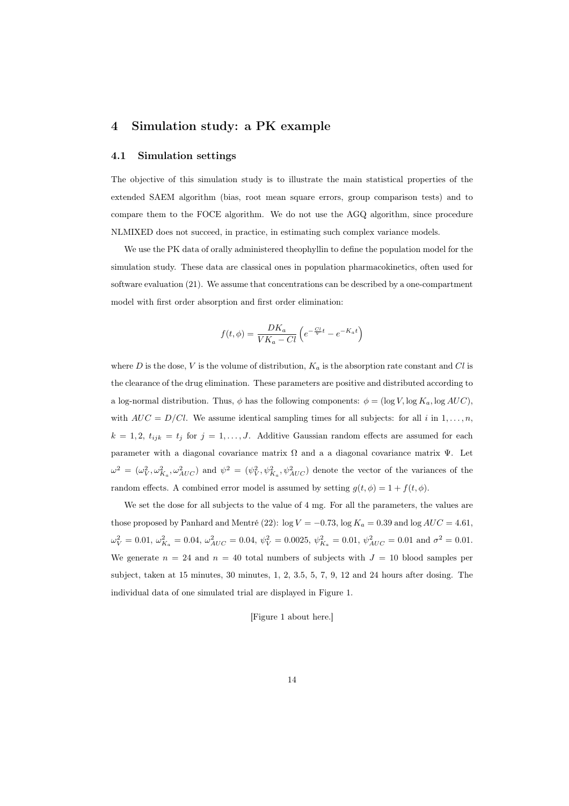# 4 Simulation study: a PK example

#### 4.1 Simulation settings

The objective of this simulation study is to illustrate the main statistical properties of the extended SAEM algorithm (bias, root mean square errors, group comparison tests) and to compare them to the FOCE algorithm. We do not use the AGQ algorithm, since procedure NLMIXED does not succeed, in practice, in estimating such complex variance models.

We use the PK data of orally administered theophyllin to define the population model for the simulation study. These data are classical ones in population pharmacokinetics, often used for software evaluation (21). We assume that concentrations can be described by a one-compartment model with first order absorption and first order elimination:

$$
f(t, \phi) = \frac{DK_a}{VK_a - Cl} \left( e^{-\frac{Cl}{V}t} - e^{-K_a t} \right)
$$

where  $D$  is the dose,  $V$  is the volume of distribution,  $K_a$  is the absorption rate constant and  $Cl$  is the clearance of the drug elimination. These parameters are positive and distributed according to a log-normal distribution. Thus,  $\phi$  has the following components:  $\phi = (\log V, \log K_a, \log AUC)$ , with  $AUC = D/Cl$ . We assume identical sampling times for all subjects: for all i in 1,..., n,  $k = 1, 2, t_{ijk} = t_j$  for  $j = 1, ..., J$ . Additive Gaussian random effects are assumed for each parameter with a diagonal covariance matrix  $\Omega$  and a a diagonal covariance matrix  $\Psi$ . Let  $\omega^2 = (\omega_V^2, \omega_{K_a}^2, \omega_{AUC}^2)$  and  $\psi^2 = (\psi_V^2, \psi_{K_a}^2, \psi_{AUC}^2)$  denote the vector of the variances of the random effects. A combined error model is assumed by setting  $g(t, \phi) = 1 + f(t, \phi)$ .

We set the dose for all subjects to the value of 4 mg. For all the parameters, the values are those proposed by Panhard and Mentré (22):  $\log V = -0.73$ ,  $\log K_a = 0.39$  and  $\log AUC = 4.61$ ,  $\omega_V^2 = 0.01, \, \omega_{K_a}^2 = 0.04, \, \omega_{AUC}^2 = 0.04, \, \psi_V^2 = 0.0025, \, \psi_{K_a}^2 = 0.01, \, \psi_{AUC}^2 = 0.01$  and  $\sigma^2 = 0.01$ . We generate  $n = 24$  and  $n = 40$  total numbers of subjects with  $J = 10$  blood samples per subject, taken at 15 minutes, 30 minutes, 1, 2, 3.5, 5, 7, 9, 12 and 24 hours after dosing. The individual data of one simulated trial are displayed in Figure 1.

#### [Figure 1 about here.]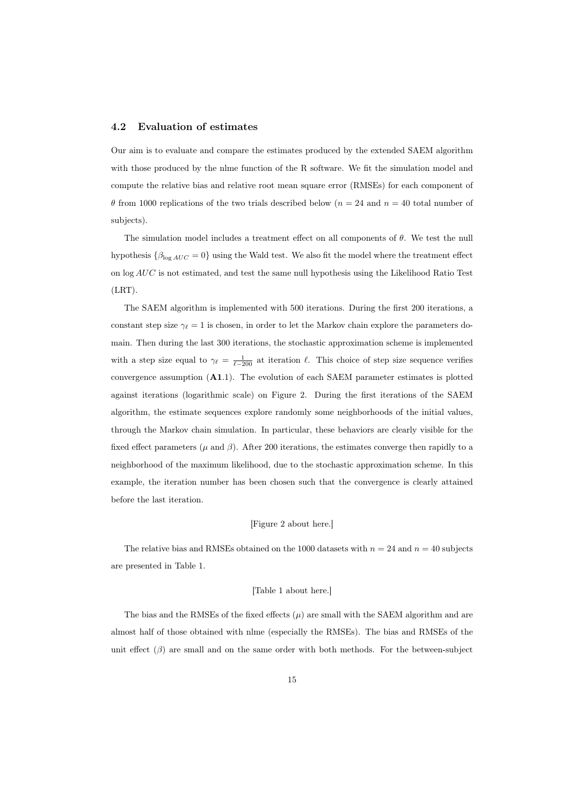#### 4.2 Evaluation of estimates

Our aim is to evaluate and compare the estimates produced by the extended SAEM algorithm with those produced by the nlme function of the R software. We fit the simulation model and compute the relative bias and relative root mean square error (RMSEs) for each component of  $\theta$  from 1000 replications of the two trials described below ( $n = 24$  and  $n = 40$  total number of subjects).

The simulation model includes a treatment effect on all components of θ. We test the null hypothesis  $\{\beta_{\log AUC} = 0\}$  using the Wald test. We also fit the model where the treatment effect on log AUC is not estimated, and test the same null hypothesis using the Likelihood Ratio Test (LRT).

The SAEM algorithm is implemented with 500 iterations. During the first 200 iterations, a constant step size  $\gamma_{\ell} = 1$  is chosen, in order to let the Markov chain explore the parameters domain. Then during the last 300 iterations, the stochastic approximation scheme is implemented with a step size equal to  $\gamma_{\ell} = \frac{1}{\ell - 200}$  at iteration  $\ell$ . This choice of step size sequence verifies convergence assumption  $(A1.1)$ . The evolution of each SAEM parameter estimates is plotted against iterations (logarithmic scale) on Figure 2. During the first iterations of the SAEM algorithm, the estimate sequences explore randomly some neighborhoods of the initial values, through the Markov chain simulation. In particular, these behaviors are clearly visible for the fixed effect parameters ( $\mu$  and  $\beta$ ). After 200 iterations, the estimates converge then rapidly to a neighborhood of the maximum likelihood, due to the stochastic approximation scheme. In this example, the iteration number has been chosen such that the convergence is clearly attained before the last iteration.

#### [Figure 2 about here.]

The relative bias and RMSEs obtained on the 1000 datasets with  $n = 24$  and  $n = 40$  subjects are presented in Table 1.

#### [Table 1 about here.]

The bias and the RMSEs of the fixed effects  $(\mu)$  are small with the SAEM algorithm and are almost half of those obtained with nlme (especially the RMSEs). The bias and RMSEs of the unit effect  $(\beta)$  are small and on the same order with both methods. For the between-subject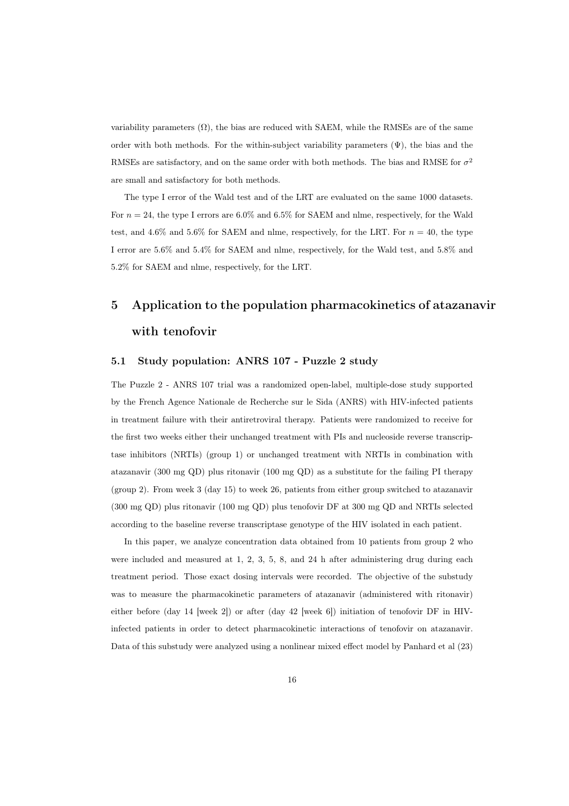variability parameters  $(\Omega)$ , the bias are reduced with SAEM, while the RMSEs are of the same order with both methods. For the within-subject variability parameters  $(\Psi)$ , the bias and the RMSEs are satisfactory, and on the same order with both methods. The bias and RMSE for  $\sigma^2$ are small and satisfactory for both methods.

The type I error of the Wald test and of the LRT are evaluated on the same 1000 datasets. For  $n = 24$ , the type I errors are 6.0% and 6.5% for SAEM and nlme, respectively, for the Wald test, and 4.6% and 5.6% for SAEM and nlme, respectively, for the LRT. For  $n = 40$ , the type I error are 5.6% and 5.4% for SAEM and nlme, respectively, for the Wald test, and 5.8% and 5.2% for SAEM and nlme, respectively, for the LRT.

# 5 Application to the population pharmacokinetics of atazanavir with tenofovir

#### 5.1 Study population: ANRS 107 - Puzzle 2 study

The Puzzle 2 - ANRS 107 trial was a randomized open-label, multiple-dose study supported by the French Agence Nationale de Recherche sur le Sida (ANRS) with HIV-infected patients in treatment failure with their antiretroviral therapy. Patients were randomized to receive for the first two weeks either their unchanged treatment with PIs and nucleoside reverse transcriptase inhibitors (NRTIs) (group 1) or unchanged treatment with NRTIs in combination with atazanavir (300 mg QD) plus ritonavir (100 mg QD) as a substitute for the failing PI therapy (group 2). From week 3 (day 15) to week 26, patients from either group switched to atazanavir (300 mg QD) plus ritonavir (100 mg QD) plus tenofovir DF at 300 mg QD and NRTIs selected according to the baseline reverse transcriptase genotype of the HIV isolated in each patient.

In this paper, we analyze concentration data obtained from 10 patients from group 2 who were included and measured at 1, 2, 3, 5, 8, and 24 h after administering drug during each treatment period. Those exact dosing intervals were recorded. The objective of the substudy was to measure the pharmacokinetic parameters of atazanavir (administered with ritonavir) either before (day 14 [week 2]) or after (day 42 [week 6]) initiation of tenofovir DF in HIVinfected patients in order to detect pharmacokinetic interactions of tenofovir on atazanavir. Data of this substudy were analyzed using a nonlinear mixed effect model by Panhard et al (23)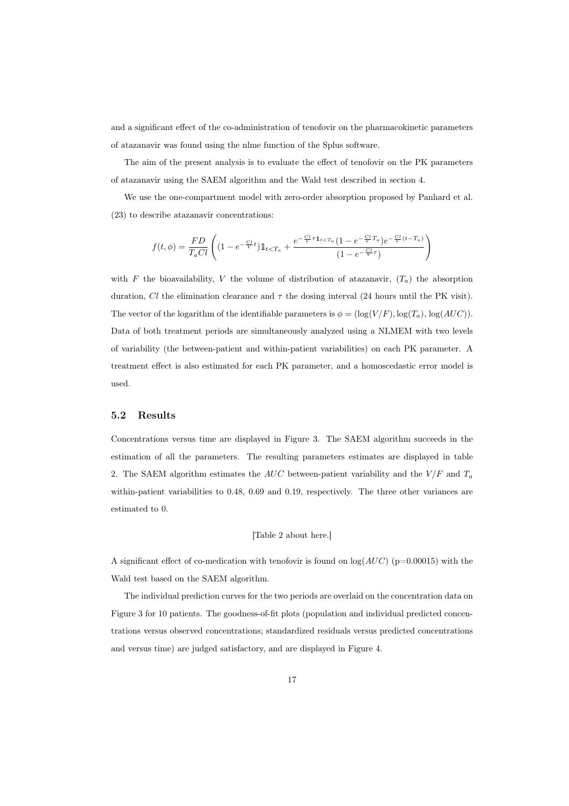and a significant effect of the co-administration of tenofovir on the pharmacokinetic parameters of atazanavir was found using the nlme function of the Splus software.

The aim of the present analysis is to evaluate the effect of tenofovir on the PK parameters of atazanavir using the SAEM algorithm and the Wald test described in section 4.

We use the one-compartment model with zero-order absorption proposed by Panhard et al. (23) to describe atazanavir concentrations:

$$
f(t,\phi) = \frac{FD}{T_a C l} \left( (1 - e^{-\frac{C l}{V}t}) \mathbb{1}_{t < T_a} + \frac{e^{-\frac{C l}{V} \tau \mathbb{1}_{t < T_a}} (1 - e^{-\frac{C l}{V} T_a}) e^{-\frac{C l}{V} (t - T_a)}}{(1 - e^{-\frac{C l}{V} \tau})}\right)
$$

with F the bioavailability, V the volume of distribution of atazanavir,  $(T_a)$  the absorption duration, Cl the elimination clearance and  $\tau$  the dosing interval (24 hours until the PK visit). The vector of the logarithm of the identifiable parameters is  $\phi = (\log(V/F), \log(T_a), \log(AUC))$ . Data of both treatment periods are simultaneously analyzed using a NLMEM with two levels of variability (the between-patient and within-patient variabilities) on each PK parameter. A treatment effect is also estimated for each PK parameter, and a homoscedastic error model is used.

#### 5.2 Results

Concentrations versus time are displayed in Figure 3. The SAEM algorithm succeeds in the estimation of all the parameters. The resulting parameters estimates are displayed in table 2. The SAEM algorithm estimates the  $AUC$  between-patient variability and the  $V/F$  and  $T_a$ within-patient variabilities to 0.48, 0.69 and 0.19, respectively. The three other variances are estimated to 0.

#### [Table 2 about here.]

A significant effect of co-medication with tenofovir is found on  $log(AUC)$  (p=0.00015) with the Wald test based on the SAEM algorithm.

The individual prediction curves for the two periods are overlaid on the concentration data on Figure 3 for 10 patients. The goodness-of-fit plots (population and individual predicted concentrations versus observed concentrations; standardized residuals versus predicted concentrations and versus time) are judged satisfactory, and are displayed in Figure 4.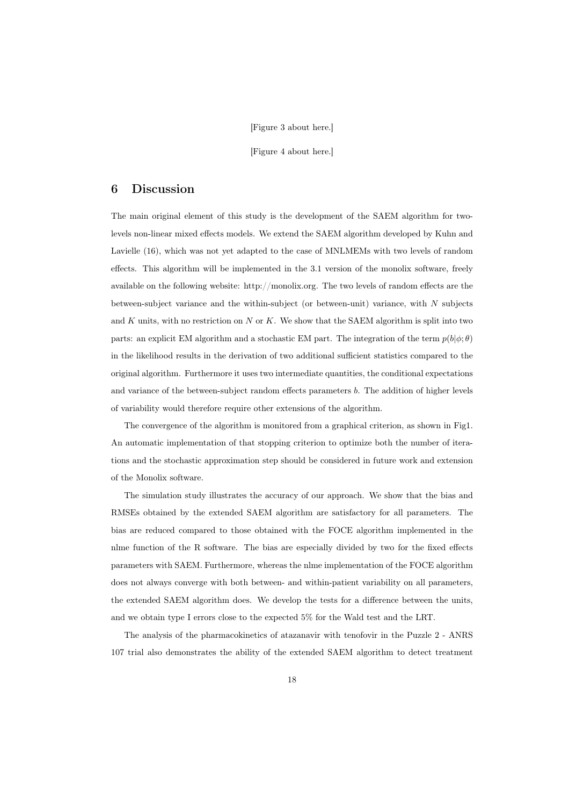#### [Figure 3 about here.]

[Figure 4 about here.]

#### 6 Discussion

The main original element of this study is the development of the SAEM algorithm for twolevels non-linear mixed effects models. We extend the SAEM algorithm developed by Kuhn and Lavielle (16), which was not yet adapted to the case of MNLMEMs with two levels of random effects. This algorithm will be implemented in the 3.1 version of the monolix software, freely available on the following website: http://monolix.org. The two levels of random effects are the between-subject variance and the within-subject (or between-unit) variance, with  $N$  subjects and  $K$  units, with no restriction on  $N$  or  $K$ . We show that the SAEM algorithm is split into two parts: an explicit EM algorithm and a stochastic EM part. The integration of the term  $p(b|\phi;\theta)$ in the likelihood results in the derivation of two additional sufficient statistics compared to the original algorithm. Furthermore it uses two intermediate quantities, the conditional expectations and variance of the between-subject random effects parameters b. The addition of higher levels of variability would therefore require other extensions of the algorithm.

The convergence of the algorithm is monitored from a graphical criterion, as shown in Fig1. An automatic implementation of that stopping criterion to optimize both the number of iterations and the stochastic approximation step should be considered in future work and extension of the Monolix software.

The simulation study illustrates the accuracy of our approach. We show that the bias and RMSEs obtained by the extended SAEM algorithm are satisfactory for all parameters. The bias are reduced compared to those obtained with the FOCE algorithm implemented in the nlme function of the R software. The bias are especially divided by two for the fixed effects parameters with SAEM. Furthermore, whereas the nlme implementation of the FOCE algorithm does not always converge with both between- and within-patient variability on all parameters, the extended SAEM algorithm does. We develop the tests for a difference between the units, and we obtain type I errors close to the expected 5% for the Wald test and the LRT.

The analysis of the pharmacokinetics of atazanavir with tenofovir in the Puzzle 2 - ANRS 107 trial also demonstrates the ability of the extended SAEM algorithm to detect treatment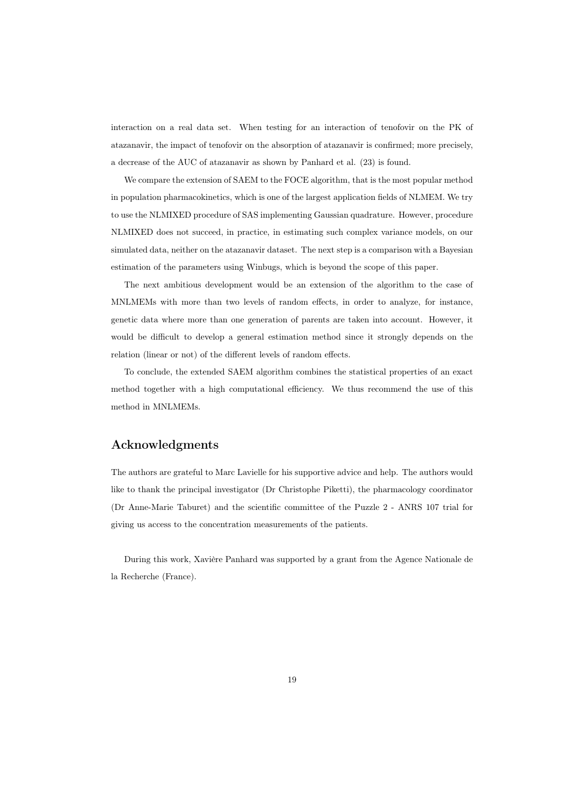interaction on a real data set. When testing for an interaction of tenofovir on the PK of atazanavir, the impact of tenofovir on the absorption of atazanavir is confirmed; more precisely, a decrease of the AUC of atazanavir as shown by Panhard et al. (23) is found.

We compare the extension of SAEM to the FOCE algorithm, that is the most popular method in population pharmacokinetics, which is one of the largest application fields of NLMEM. We try to use the NLMIXED procedure of SAS implementing Gaussian quadrature. However, procedure NLMIXED does not succeed, in practice, in estimating such complex variance models, on our simulated data, neither on the atazanavir dataset. The next step is a comparison with a Bayesian estimation of the parameters using Winbugs, which is beyond the scope of this paper.

The next ambitious development would be an extension of the algorithm to the case of MNLMEMs with more than two levels of random effects, in order to analyze, for instance, genetic data where more than one generation of parents are taken into account. However, it would be difficult to develop a general estimation method since it strongly depends on the relation (linear or not) of the different levels of random effects.

To conclude, the extended SAEM algorithm combines the statistical properties of an exact method together with a high computational efficiency. We thus recommend the use of this method in MNLMEMs.

## Acknowledgments

The authors are grateful to Marc Lavielle for his supportive advice and help. The authors would like to thank the principal investigator (Dr Christophe Piketti), the pharmacology coordinator (Dr Anne-Marie Taburet) and the scientific committee of the Puzzle 2 - ANRS 107 trial for giving us access to the concentration measurements of the patients.

During this work, Xavière Panhard was supported by a grant from the Agence Nationale de la Recherche (France).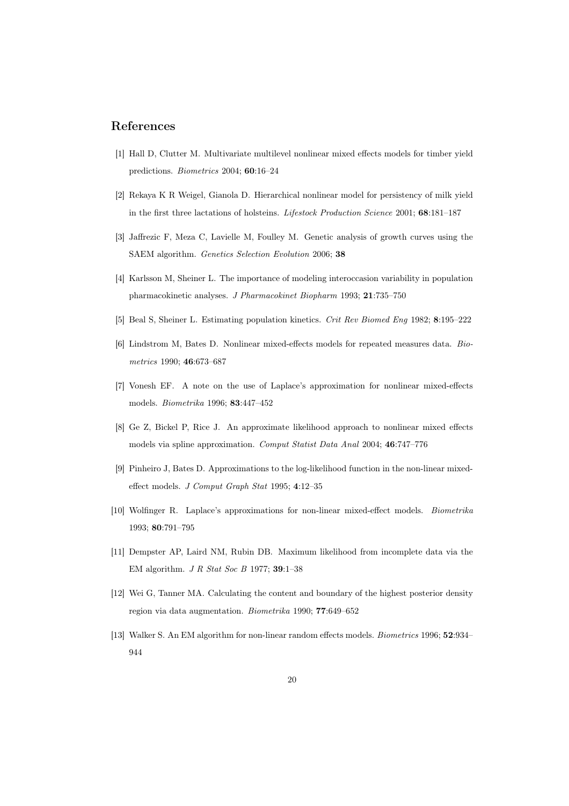## References

- [1] Hall D, Clutter M. Multivariate multilevel nonlinear mixed effects models for timber yield predictions. Biometrics 2004; 60:16–24
- [2] Rekaya K R Weigel, Gianola D. Hierarchical nonlinear model for persistency of milk yield in the first three lactations of holsteins. Lifestock Production Science 2001; 68:181–187
- [3] Jaffrezic F, Meza C, Lavielle M, Foulley M. Genetic analysis of growth curves using the SAEM algorithm. Genetics Selection Evolution 2006; 38
- [4] Karlsson M, Sheiner L. The importance of modeling interoccasion variability in population pharmacokinetic analyses. J Pharmacokinet Biopharm 1993; 21:735–750
- [5] Beal S, Sheiner L. Estimating population kinetics. Crit Rev Biomed Eng 1982; 8:195–222
- [6] Lindstrom M, Bates D. Nonlinear mixed-effects models for repeated measures data. Biometrics 1990; 46:673–687
- [7] Vonesh EF. A note on the use of Laplace's approximation for nonlinear mixed-effects models. Biometrika 1996; 83:447–452
- [8] Ge Z, Bickel P, Rice J. An approximate likelihood approach to nonlinear mixed effects models via spline approximation. Comput Statist Data Anal 2004; 46:747–776
- [9] Pinheiro J, Bates D. Approximations to the log-likelihood function in the non-linear mixedeffect models. J Comput Graph Stat 1995; 4:12–35
- [10] Wolfinger R. Laplace's approximations for non-linear mixed-effect models. Biometrika 1993; 80:791–795
- [11] Dempster AP, Laird NM, Rubin DB. Maximum likelihood from incomplete data via the EM algorithm. J R Stat Soc B 1977; 39:1–38
- [12] Wei G, Tanner MA. Calculating the content and boundary of the highest posterior density region via data augmentation. Biometrika 1990; 77:649–652
- [13] Walker S. An EM algorithm for non-linear random effects models. Biometrics 1996; 52:934– 944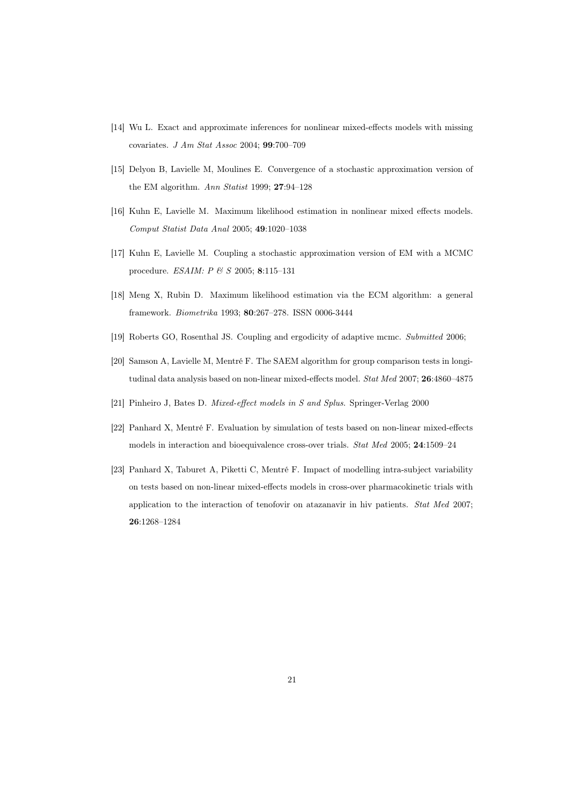- [14] Wu L. Exact and approximate inferences for nonlinear mixed-effects models with missing covariates. J Am Stat Assoc 2004; 99:700–709
- [15] Delyon B, Lavielle M, Moulines E. Convergence of a stochastic approximation version of the EM algorithm. Ann Statist 1999; 27:94–128
- [16] Kuhn E, Lavielle M. Maximum likelihood estimation in nonlinear mixed effects models. Comput Statist Data Anal 2005; 49:1020–1038
- [17] Kuhn E, Lavielle M. Coupling a stochastic approximation version of EM with a MCMC procedure. ESAIM: P & S 2005; 8:115–131
- [18] Meng X, Rubin D. Maximum likelihood estimation via the ECM algorithm: a general framework. Biometrika 1993; 80:267–278. ISSN 0006-3444
- [19] Roberts GO, Rosenthal JS. Coupling and ergodicity of adaptive mcmc. Submitted 2006;
- [20] Samson A, Lavielle M, Mentré F. The SAEM algorithm for group comparison tests in longitudinal data analysis based on non-linear mixed-effects model. Stat Med 2007; 26:4860-4875
- [21] Pinheiro J, Bates D. Mixed-effect models in S and Splus. Springer-Verlag 2000
- [22] Panhard X, Mentré F. Evaluation by simulation of tests based on non-linear mixed-effects models in interaction and bioequivalence cross-over trials. Stat Med 2005; 24:1509–24
- [23] Panhard X, Taburet A, Piketti C, Mentré F. Impact of modelling intra-subject variability on tests based on non-linear mixed-effects models in cross-over pharmacokinetic trials with application to the interaction of tenofovir on atazanavir in hiv patients. Stat Med 2007; 26:1268–1284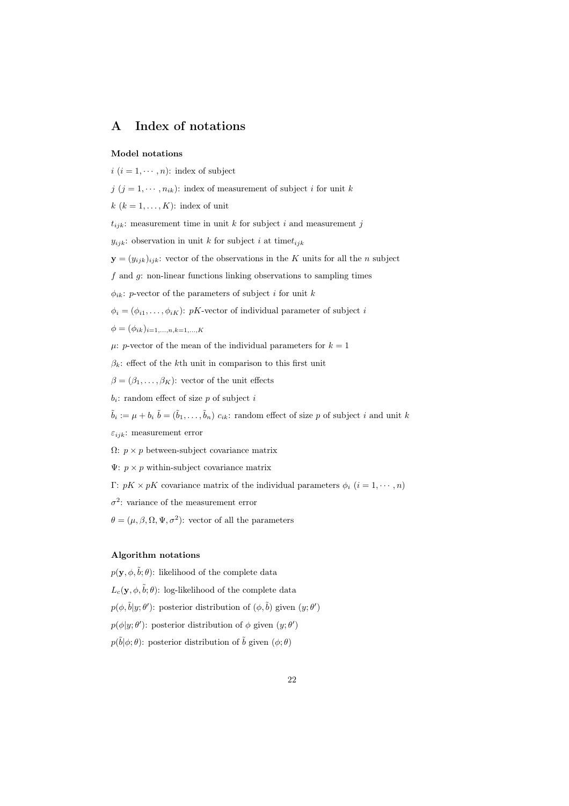# A Index of notations

#### Model notations

 $i$   $(i = 1, \dots, n)$ : index of subject  $j$   $(j = 1, \dots, n_{ik})$ : index of measurement of subject i for unit k  $k$   $(k = 1, \ldots, K)$ : index of unit  $t_{ijk}$ : measurement time in unit k for subject i and measurement j  $y_{ijk}$ : observation in unit k for subject i at time $t_{ijk}$  $\mathbf{y} = (y_{ijk})_{ijk}$ : vector of the observations in the K units for all the n subject  $f$  and  $g$ : non-linear functions linking observations to sampling times  $\phi_{ik}$ : *p*-vector of the parameters of subject *i* for unit *k*  $\phi_i = (\phi_{i1}, \ldots, \phi_{iK})$ : pK-vector of individual parameter of subject i  $\phi = (\phi_{ik})_{i=1,...,n,k=1,...,K}$  $\mu$ : *p*-vector of the mean of the individual parameters for  $k = 1$  $\beta_k$ : effect of the kth unit in comparison to this first unit  $\beta = (\beta_1, \ldots, \beta_K)$ : vector of the unit effects  $b_i$ : random effect of size p of subject i  $\tilde{b}_i := \mu + b_i \ \tilde{b} = (\tilde{b}_1, \ldots, \tilde{b}_n) \ c_{ik}$ : random effect of size p of subject i and unit k  $\varepsilon_{ijk}$ : measurement error  $\Omega: p \times p$  between-subject covariance matrix  $\Psi: p \times p$  within-subject covariance matrix Γ:  $pK \times pK$  covariance matrix of the individual parameters  $\phi_i$   $(i = 1, \dots, n)$  $\sigma^2$ : variance of the measurement error

 $\theta = (\mu, \beta, \Omega, \Psi, \sigma^2)$ : vector of all the parameters

#### Algorithm notations

 $p(\mathbf{y}, \phi, \tilde{b}; \theta)$ : likelihood of the complete data  $L_c(\mathbf{y}, \phi, \tilde{b}; \theta)$ : log-likelihood of the complete data  $p(\phi, \tilde{b}|y; \theta')$ : posterior distribution of  $(\phi, \tilde{b})$  given  $(y; \theta')$  $p(\phi|y;\theta')$ : posterior distribution of  $\phi$  given  $(y;\theta')$  $p(\tilde{b}|\phi;\theta)$ : posterior distribution of  $\tilde{b}$  given  $(\phi;\theta)$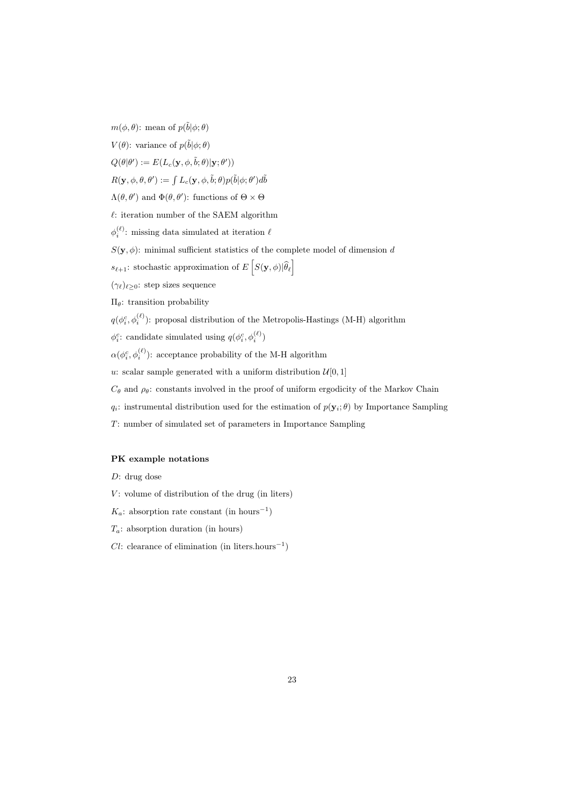$m(\phi, \theta)$ : mean of  $p(\tilde{b}|\phi; \theta)$ 

 $V(\theta)$ : variance of  $p(\tilde{b}|\phi;\theta)$ 

 $Q(\theta|\theta') := E(L_c(\mathbf{y}, \phi, \tilde{b}; \theta)|\mathbf{y}; \theta'))$ 

 $R(\mathbf{y},\phi,\theta,\theta'):=\int L_c(\mathbf{y},\phi,\tilde{b};\theta)p(\tilde{b}|\phi;\theta')d\tilde{b}$ 

 $\Lambda(\theta, \theta')$  and  $\Phi(\theta, \theta')$ : functions of  $\Theta \times \Theta$ 

 $\ell$ : iteration number of the SAEM algorithm

 $\phi_i^{(\ell)}$ : missing data simulated at iteration  $\ell$ 

 $S(\mathbf{y}, \phi)$ : minimal sufficient statistics of the complete model of dimension d

 $s_{\ell+1}\!\!:$  stochastic approximation of  $E\left[S(\mathbf{y},\phi)|\widehat{\theta}_\ell\right]$ 

 $(\gamma_{\ell})_{\ell>0}$ : step sizes sequence

 $Πθ$ : transition probability

 $q(\phi_i^c, \phi_i^{(\ell)})$ : proposal distribution of the Metropolis-Hastings (M-H) algorithm

 $\phi_i^c$ : candidate simulated using  $q(\phi_i^c, \phi_i^{(\ell)})$ 

 $\alpha(\phi_i^c,\phi_i^{(\ell)})$ : acceptance probability of the M-H algorithm

u: scalar sample generated with a uniform distribution  $\mathcal{U}[0,1]$ 

 $C_{\theta}$  and  $\rho_{\theta}$ : constants involved in the proof of uniform ergodicity of the Markov Chain

- $q_i$ : instrumental distribution used for the estimation of  $p(\mathbf{y}_i; \theta)$  by Importance Sampling
- T: number of simulated set of parameters in Importance Sampling

#### PK example notations

D: drug dose

- $V:$  volume of distribution of the drug (in liters)
- $K_a$ : absorption rate constant (in hours<sup>-1</sup>)
- $T_a$ : absorption duration (in hours)
- $Cl:$  clearance of elimination (in liters.hours<sup>-1</sup>)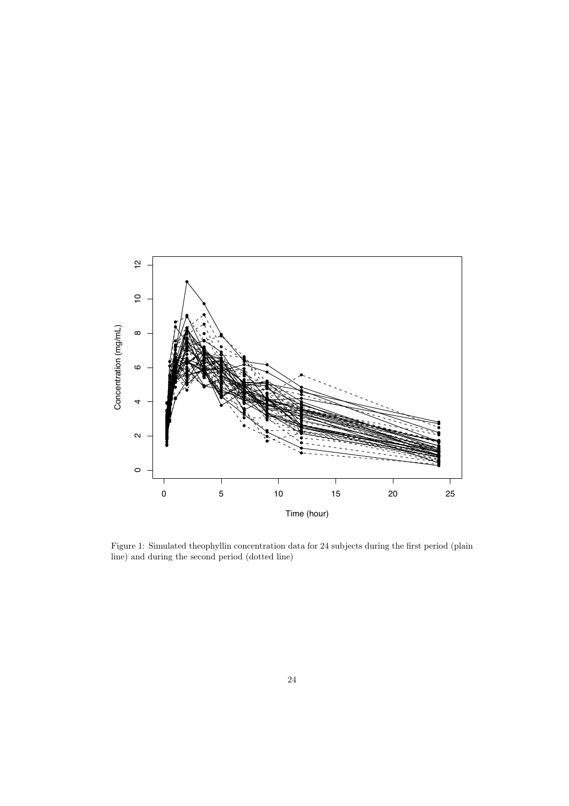

Figure 1: Simulated theophyllin concentration data for 24 subjects during the first period (plain line) and during the second period (dotted line)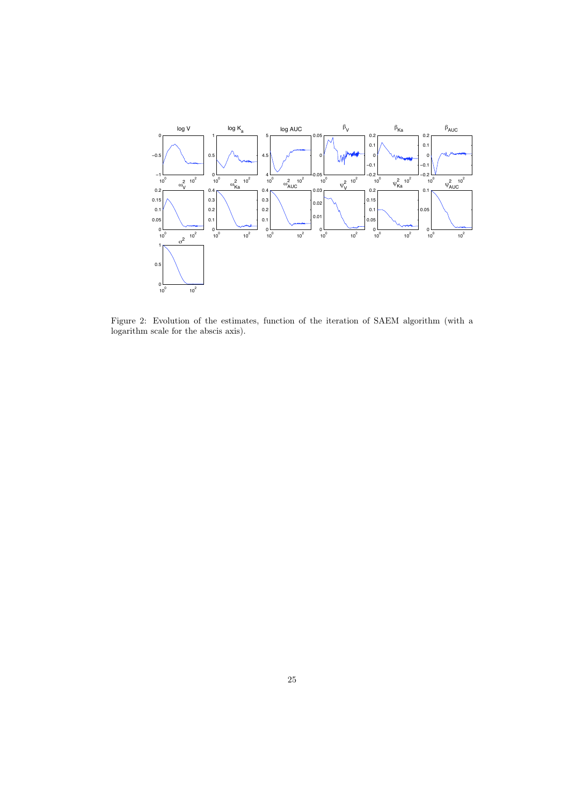

Figure 2: Evolution of the estimates, function of the iteration of SAEM algorithm (with a logarithm scale for the abscis axis).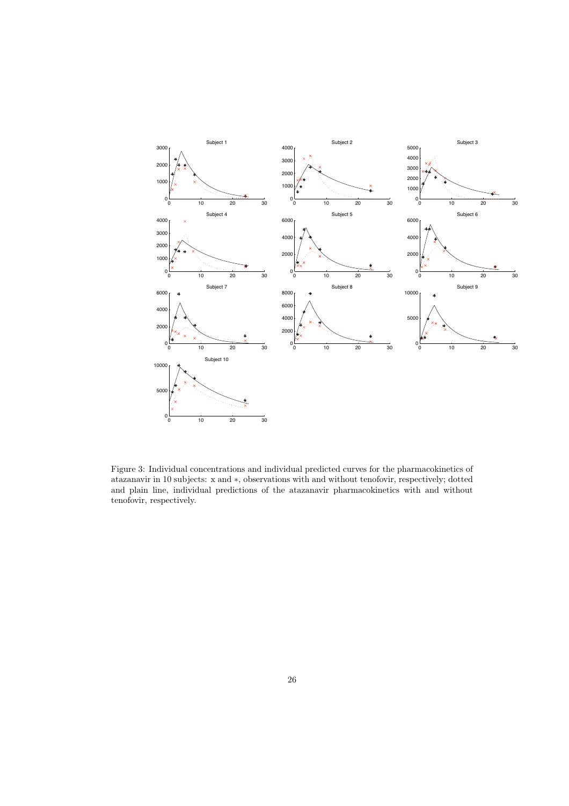

Figure 3: Individual concentrations and individual predicted curves for the pharmacokinetics of atazanavir in 10 subjects: x and ∗, observations with and without tenofovir, respectively; dotted and plain line, individual predictions of the atazanavir pharmacokinetics with and without tenofovir, respectively.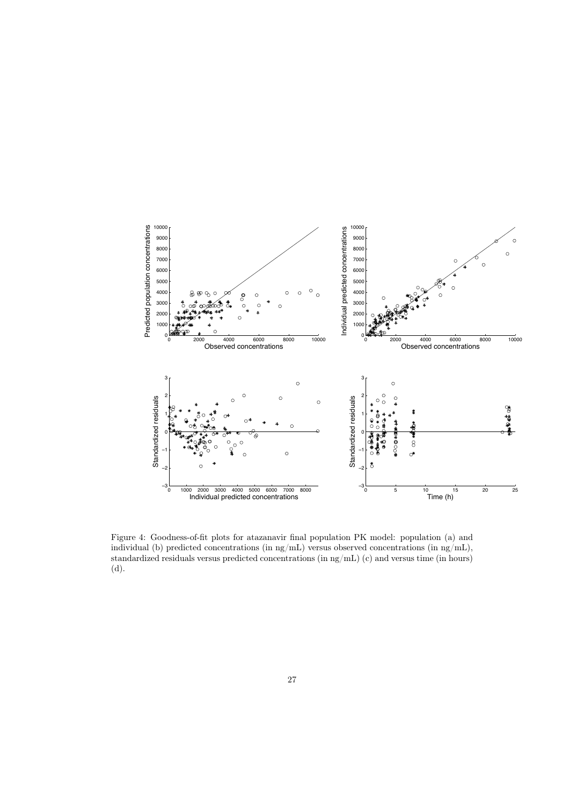

Figure 4: Goodness-of-fit plots for atazanavir final population PK model: population (a) and individual (b) predicted concentrations (in  $\text{ng/mL}$ ) versus observed concentrations (in  $\text{ng/mL}$ ), standardized residuals versus predicted concentrations (in ng/mL) (c) and versus time (in hours) (d).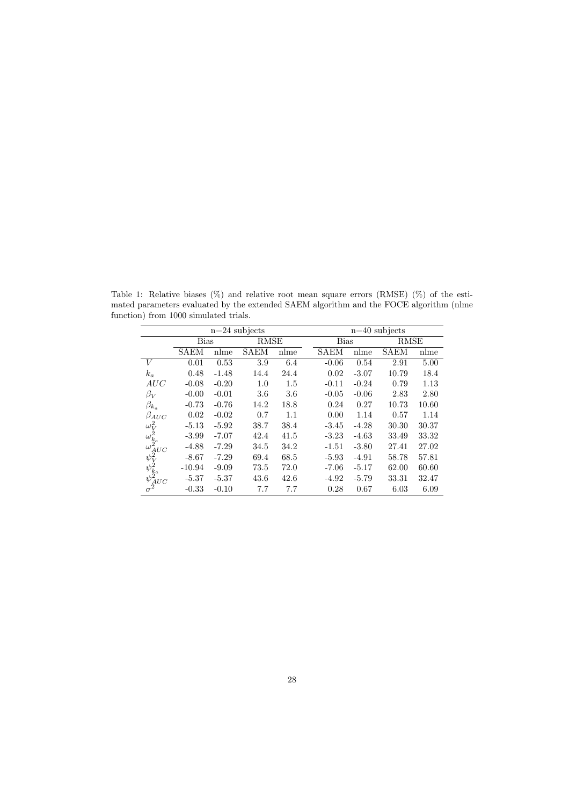|                                                                          | $n=24$ subjects |         |             |      |  | $n=40$ subjects |         |             |       |
|--------------------------------------------------------------------------|-----------------|---------|-------------|------|--|-----------------|---------|-------------|-------|
|                                                                          | <b>Bias</b>     |         | <b>RMSE</b> |      |  | <b>Bias</b>     |         | <b>RMSE</b> |       |
|                                                                          | <b>SAEM</b>     | nlme    | <b>SAEM</b> | nlme |  | <b>SAEM</b>     | nlme    | <b>SAEM</b> | nlme  |
| V                                                                        | 0.01            | 0.53    | 3.9         | 6.4  |  | $-0.06$         | 0.54    | 2.91        | 5.00  |
| $k_a$                                                                    | 0.48            | $-1.48$ | 14.4        | 24.4 |  | 0.02            | $-3.07$ | 10.79       | 18.4  |
| AUC                                                                      | $-0.08$         | $-0.20$ | $1.0\,$     | 1.5  |  | $-0.11$         | $-0.24$ | 0.79        | 1.13  |
| $\beta_V$                                                                | $-0.00$         | $-0.01$ | 3.6         | 3.6  |  | $-0.05$         | $-0.06$ | 2.83        | 2.80  |
| $\beta_{k_a}$                                                            | $-0.73$         | $-0.76$ | 14.2        | 18.8 |  | 0.24            | 0.27    | 10.73       | 10.60 |
| $\beta_{AUC}$                                                            | 0.02            | $-0.02$ | 0.7         | 1.1  |  | 0.00            | 1.14    | 0.57        | 1.14  |
|                                                                          | $-5.13$         | $-5.92$ | 38.7        | 38.4 |  | $-3.45$         | $-4.28$ | 30.30       | 30.37 |
|                                                                          | $-3.99$         | $-7.07$ | 42.4        | 41.5 |  | $-3.23$         | $-4.63$ | 33.49       | 33.32 |
| $\omega_V^2$<br>$\omega_{k_a}^2$<br>$\omega_{AUC}^2$<br>$\psi_{\rm V}^2$ | $-4.88$         | $-7.29$ | 34.5        | 34.2 |  | $-1.51$         | $-3.80$ | 27.41       | 27.02 |
|                                                                          | $-8.67$         | $-7.29$ | 69.4        | 68.5 |  | $-5.93$         | $-4.91$ | 58.78       | 57.81 |
|                                                                          | $-10.94$        | $-9.09$ | 73.5        | 72.0 |  | $-7.06$         | $-5.17$ | 62.00       | 60.60 |
| $\psi^\natural_{k_a} \ \psi^\natural_{AUC} \ \sigma^\natural$            | $-5.37$         | $-5.37$ | 43.6        | 42.6 |  | $-4.92$         | $-5.79$ | 33.31       | 32.47 |
|                                                                          | $-0.33$         | $-0.10$ | 7.7         | 7.7  |  | 0.28            | 0.67    | 6.03        | 6.09  |

Table 1: Relative biases (%) and relative root mean square errors (RMSE) (%) of the estimated parameters evaluated by the extended SAEM algorithm and the FOCE algorithm (nlme function) from 1000 simulated trials.